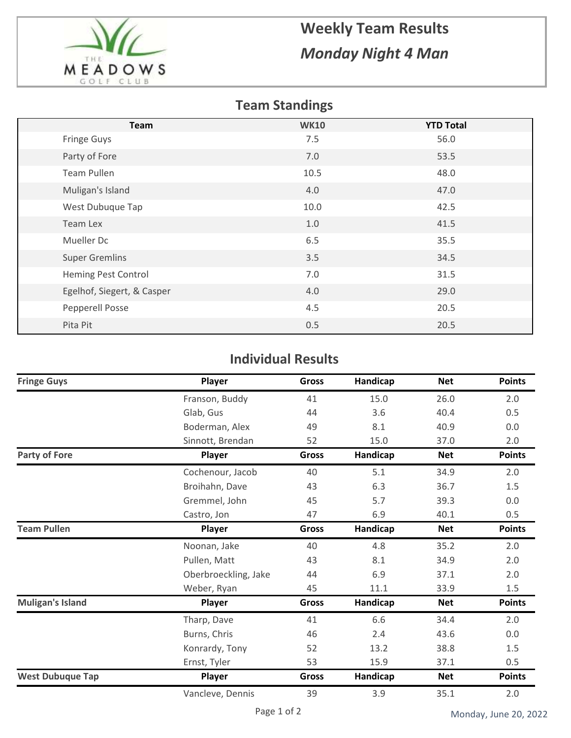

## **Weekly Team Results** *Monday Night 4 Man*

## **Team Standings**

| <b>Team</b>                | <b>WK10</b> | <b>YTD Total</b> |
|----------------------------|-------------|------------------|
| Fringe Guys                | 7.5         | 56.0             |
| Party of Fore              | 7.0         | 53.5             |
| Team Pullen                | 10.5        | 48.0             |
| Muligan's Island           | 4.0         | 47.0             |
| West Dubuque Tap           | 10.0        | 42.5             |
| Team Lex                   | 1.0         | 41.5             |
| Mueller Dc                 | 6.5         | 35.5             |
| <b>Super Gremlins</b>      | 3.5         | 34.5             |
| Heming Pest Control        | 7.0         | 31.5             |
| Egelhof, Siegert, & Casper | 4.0         | 29.0             |
| Pepperell Posse            | 4.5         | 20.5             |
| Pita Pit                   | 0.5         | 20.5             |

## **Individual Results**

| <b>Fringe Guys</b>      | Player               | <b>Gross</b> | Handicap | <b>Net</b> | <b>Points</b> |
|-------------------------|----------------------|--------------|----------|------------|---------------|
|                         | Franson, Buddy       | 41           | 15.0     | 26.0       | 2.0           |
|                         | Glab, Gus            | 44           | 3.6      | 40.4       | 0.5           |
|                         | Boderman, Alex       | 49           | 8.1      | 40.9       | $0.0\,$       |
|                         | Sinnott, Brendan     | 52           | 15.0     | 37.0       | 2.0           |
| <b>Party of Fore</b>    | Player               | Gross        | Handicap | <b>Net</b> | <b>Points</b> |
|                         | Cochenour, Jacob     | 40           | 5.1      | 34.9       | 2.0           |
|                         | Broihahn, Dave       | 43           | 6.3      | 36.7       | 1.5           |
|                         | Gremmel, John        | 45           | 5.7      | 39.3       | 0.0           |
|                         | Castro, Jon          | 47           | 6.9      | 40.1       | 0.5           |
| <b>Team Pullen</b>      | Player               | <b>Gross</b> | Handicap | <b>Net</b> | <b>Points</b> |
|                         | Noonan, Jake         | 40           | 4.8      | 35.2       | 2.0           |
|                         | Pullen, Matt         | 43           | 8.1      | 34.9       | 2.0           |
|                         | Oberbroeckling, Jake | 44           | 6.9      | 37.1       | 2.0           |
|                         | Weber, Ryan          | 45           | 11.1     | 33.9       | 1.5           |
| <b>Muligan's Island</b> | Player               | Gross        | Handicap | <b>Net</b> | <b>Points</b> |
|                         | Tharp, Dave          | 41           | 6.6      | 34.4       | 2.0           |
|                         | Burns, Chris         | 46           | 2.4      | 43.6       | 0.0           |
|                         | Konrardy, Tony       | 52           | 13.2     | 38.8       | 1.5           |
|                         | Ernst, Tyler         | 53           | 15.9     | 37.1       | 0.5           |
| <b>West Dubuque Tap</b> | Player               | <b>Gross</b> | Handicap | <b>Net</b> | <b>Points</b> |
|                         | Vancleve, Dennis     | 39           | 3.9      | 35.1       | 2.0           |